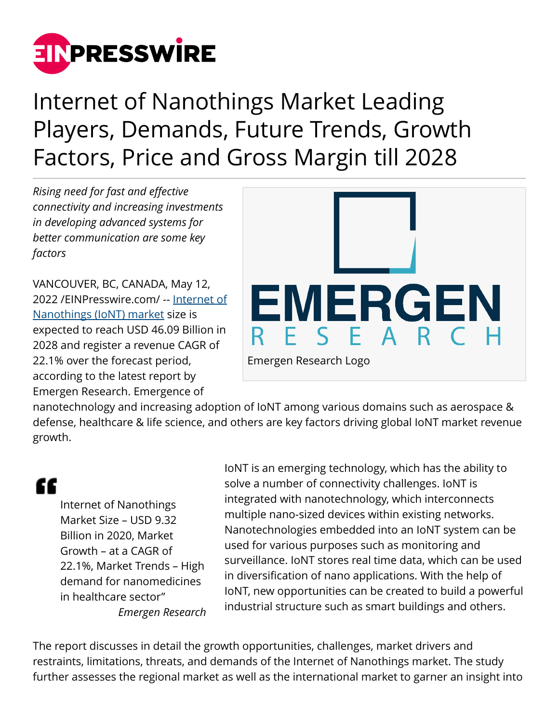

Internet of Nanothings Market Leading Players, Demands, Future Trends, Growth Factors, Price and Gross Margin till 2028

*Rising need for fast and effective connectivity and increasing investments in developing advanced systems for better communication are some key factors*

VANCOUVER, BC, CANADA, May 12, 2022 /[EINPresswire.com](http://www.einpresswire.com)/ -- [Internet of](https://www.emergenresearch.com/industry-report/internet-of-nanothings-market) [Nanothings \(IoNT\) market](https://www.emergenresearch.com/industry-report/internet-of-nanothings-market) size is expected to reach USD 46.09 Billion in 2028 and register a revenue CAGR of 22.1% over the forecast period, according to the latest report by Emergen Research. Emergence of



nanotechnology and increasing adoption of IoNT among various domains such as aerospace & defense, healthcare & life science, and others are key factors driving global IoNT market revenue growth.

# "

Internet of Nanothings Market Size – USD 9.32 Billion in 2020, Market Growth – at a CAGR of 22.1%, Market Trends – High demand for nanomedicines in healthcare sector" *Emergen Research* IoNT is an emerging technology, which has the ability to solve a number of connectivity challenges. IoNT is integrated with nanotechnology, which interconnects multiple nano-sized devices within existing networks. Nanotechnologies embedded into an IoNT system can be used for various purposes such as monitoring and surveillance. IoNT stores real time data, which can be used in diversification of nano applications. With the help of IoNT, new opportunities can be created to build a powerful industrial structure such as smart buildings and others.

The report discusses in detail the growth opportunities, challenges, market drivers and restraints, limitations, threats, and demands of the Internet of Nanothings market. The study further assesses the regional market as well as the international market to garner an insight into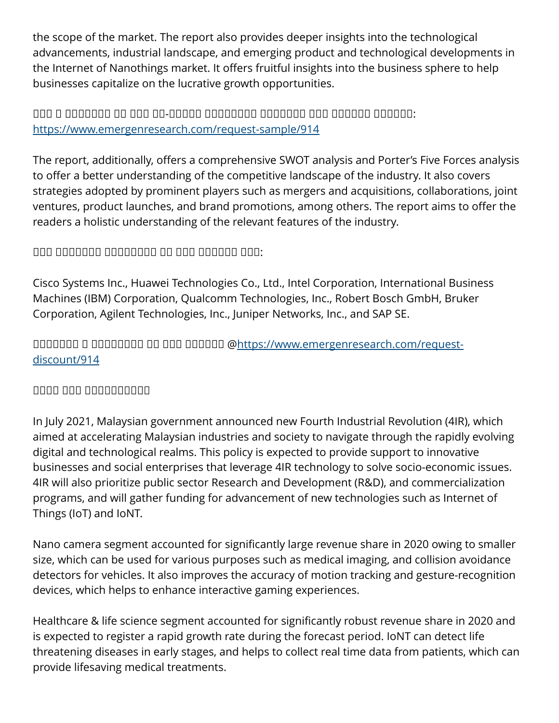the scope of the market. The report also provides deeper insights into the technological advancements, industrial landscape, and emerging product and technological developments in the Internet of Nanothings market. It offers fruitful insights into the business sphere to help businesses capitalize on the lucrative growth opportunities.

## $\Box$ <https://www.emergenresearch.com/request-sample/914>

The report, additionally, offers a comprehensive SWOT analysis and Porter's Five Forces analysis to offer a better understanding of the competitive landscape of the industry. It also covers strategies adopted by prominent players such as mergers and acquisitions, collaborations, joint ventures, product launches, and brand promotions, among others. The report aims to offer the readers a holistic understanding of the relevant features of the industry.

### $\Box$

Cisco Systems Inc., Huawei Technologies Co., Ltd., Intel Corporation, International Business Machines (IBM) Corporation, Qualcomm Technologies, Inc., Robert Bosch GmbH, Bruker Corporation, Agilent Technologies, Inc., Juniper Networks, Inc., and SAP SE.

ᵁᵁᵂᵂᵁᵂᵂ ᵁ ᵁᵂᵂᵁᵂᵂᵂᵂ ᵂᵂ ᵂᵂᵁ ᵂᵁᵂᵂᵂᵂ @[https://www.emergenresearch.com/request](https://www.emergenresearch.com/request-discount/914)[discount/914](https://www.emergenresearch.com/request-discount/914)

#### $\Box$

In July 2021, Malaysian government announced new Fourth Industrial Revolution (4IR), which aimed at accelerating Malaysian industries and society to navigate through the rapidly evolving digital and technological realms. This policy is expected to provide support to innovative businesses and social enterprises that leverage 4IR technology to solve socio-economic issues. 4IR will also prioritize public sector Research and Development (R&D), and commercialization programs, and will gather funding for advancement of new technologies such as Internet of Things (IoT) and IoNT.

Nano camera segment accounted for significantly large revenue share in 2020 owing to smaller size, which can be used for various purposes such as medical imaging, and collision avoidance detectors for vehicles. It also improves the accuracy of motion tracking and gesture-recognition devices, which helps to enhance interactive gaming experiences.

Healthcare & life science segment accounted for significantly robust revenue share in 2020 and is expected to register a rapid growth rate during the forecast period. IoNT can detect life threatening diseases in early stages, and helps to collect real time data from patients, which can provide lifesaving medical treatments.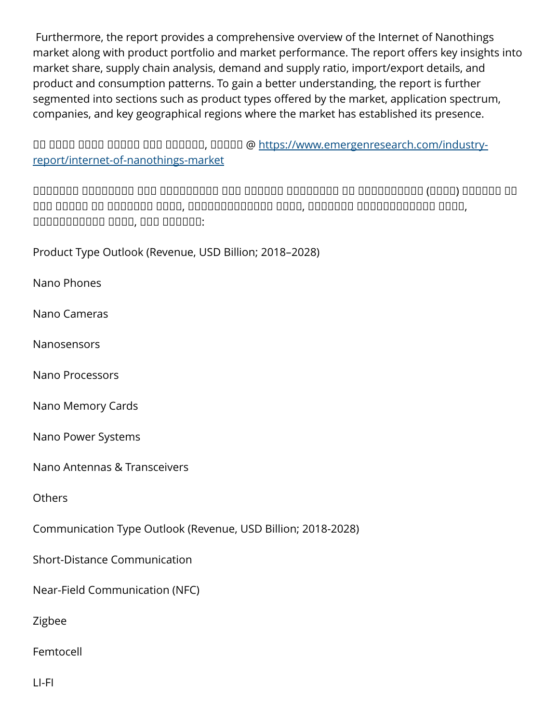Furthermore, the report provides a comprehensive overview of the Internet of Nanothings market along with product portfolio and market performance. The report offers key insights into market share, supply chain analysis, demand and supply ratio, import/export details, and product and consumption patterns. To gain a better understanding, the report is further segmented into sections such as product types offered by the market, application spectrum, companies, and key geographical regions where the market has established its presence.

ᵁᵂ ᵂᵂᵂᵃ ᵂᵂᵂᵁ ᵁᵁᵂᵂᵂ ᵂᵂᵁ ᵂᵁᵂᵂᵂᵂ, ᵂᵂᵂᵂᵂ @ [https://www.emergenresearch.com/industry](https://www.emergenresearch.com/industry-report/internet-of-nanothings-market)[report/internet-of-nanothings-market](https://www.emergenresearch.com/industry-report/internet-of-nanothings-market)

 $\Box$ ᵂᵂᵁ ᵁᵁᵂᵂᵂ ᵂᵁ ᵂᵂᵂᵁᵂᵁᵂ ᵂᵃᵂᵁ, ᵁᵂᵂᵂᵂᵂᵂᵁᵁᵂᵂᵂᵂ ᵂᵃᵂᵁ, ᵂᵁᵂᵃᵂᵂᵂ ᵁᵂᵁᵂᵂᵂᵁᵁᵂᵂᵂᵁ ᵂᵃᵂᵁ, ᵁᵂᵂᵂᵂᵁᵁᵂᵂᵂᵂ ᵂᵃᵂᵁ, ᵁᵂᵁ ᵂᵁᵂᵂᵂᵂ:

Product Type Outlook (Revenue, USD Billion; 2018–2028)

Nano Phones

Nano Cameras

**Nanosensors** 

Nano Processors

Nano Memory Cards

Nano Power Systems

Nano Antennas & Transceivers

**Others** 

Communication Type Outlook (Revenue, USD Billion; 2018-2028)

Short-Distance Communication

Near-Field Communication (NFC)

Zigbee

Femtocell

LI-FI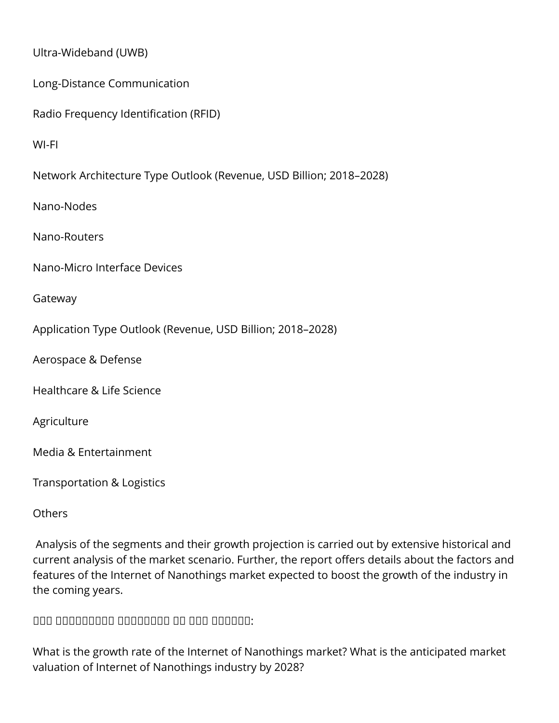Ultra-Wideband (UWB)

Long-Distance Communication

Radio Frequency Identification (RFID)

WI-FI

Network Architecture Type Outlook (Revenue, USD Billion; 2018–2028)

Nano-Nodes

Nano-Routers

Nano-Micro Interface Devices

Gateway

Application Type Outlook (Revenue, USD Billion; 2018–2028)

Aerospace & Defense

Healthcare & Life Science

Agriculture

Media & Entertainment

Transportation & Logistics

**Others** 

 Analysis of the segments and their growth projection is carried out by extensive historical and current analysis of the market scenario. Further, the report offers details about the factors and features of the Internet of Nanothings market expected to boost the growth of the industry in the coming years.

 $\Box$ 

What is the growth rate of the Internet of Nanothings market? What is the anticipated market valuation of Internet of Nanothings industry by 2028?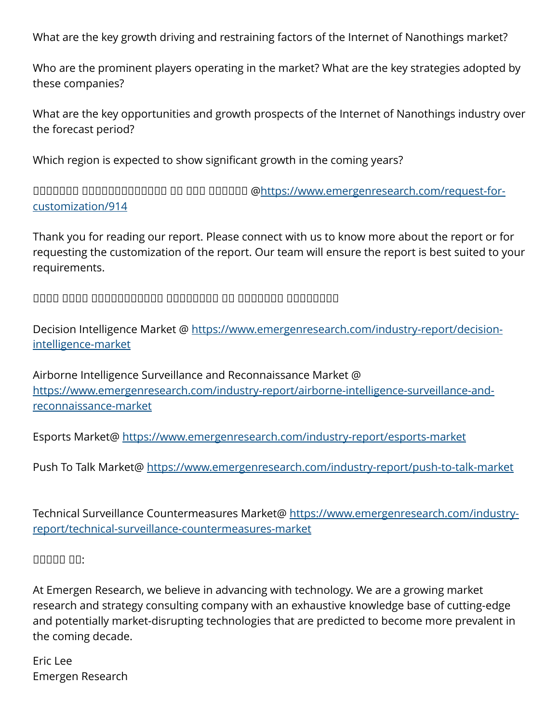What are the key growth driving and restraining factors of the Internet of Nanothings market?

Who are the prominent players operating in the market? What are the key strategies adopted by these companies?

What are the key opportunities and growth prospects of the Internet of Nanothings industry over the forecast period?

Which region is expected to show significant growth in the coming years?

ᵁᵁᵂᵂᵁᵂᵂ ᵁᵂᵂᵂᵂᵂᵂᵃᵁᵂᵂᵂᵂ ᵂᵁ ᵂᵂᵁ ᵂᵁᵂᵂᵂᵂ @[https://www.emergenresearch.com/request-for](https://www.emergenresearch.com/request-for-customization/914)[customization/914](https://www.emergenresearch.com/request-for-customization/914)

Thank you for reading our report. Please connect with us to know more about the report or for requesting the customization of the report. Our team will ensure the report is best suited to your requirements.

 $\Box$ 

Decision Intelligence Market @ [https://www.emergenresearch.com/industry-report/decision](https://www.emergenresearch.com/industry-report/decision-intelligence-market)[intelligence-market](https://www.emergenresearch.com/industry-report/decision-intelligence-market)

Airborne Intelligence Surveillance and Reconnaissance Market @ [https://www.emergenresearch.com/industry-report/airborne-intelligence-surveillance-and](https://www.emergenresearch.com/industry-report/airborne-intelligence-surveillance-and-reconnaissance-market)[reconnaissance-market](https://www.emergenresearch.com/industry-report/airborne-intelligence-surveillance-and-reconnaissance-market)

Esports Market@<https://www.emergenresearch.com/industry-report/esports-market>

Push To Talk Market@ <https://www.emergenresearch.com/industry-report/push-to-talk-market>

Technical Surveillance Countermeasures Market@ [https://www.emergenresearch.com/industry](https://www.emergenresearch.com/industry-report/technical-surveillance-countermeasures-market)[report/technical-surveillance-countermeasures-market](https://www.emergenresearch.com/industry-report/technical-surveillance-countermeasures-market)

#### ᵀᵁᵂᵂᵂ ᵁᵂ:

At Emergen Research, we believe in advancing with technology. We are a growing market research and strategy consulting company with an exhaustive knowledge base of cutting-edge and potentially market-disrupting technologies that are predicted to become more prevalent in the coming decade.

Eric Lee Emergen Research